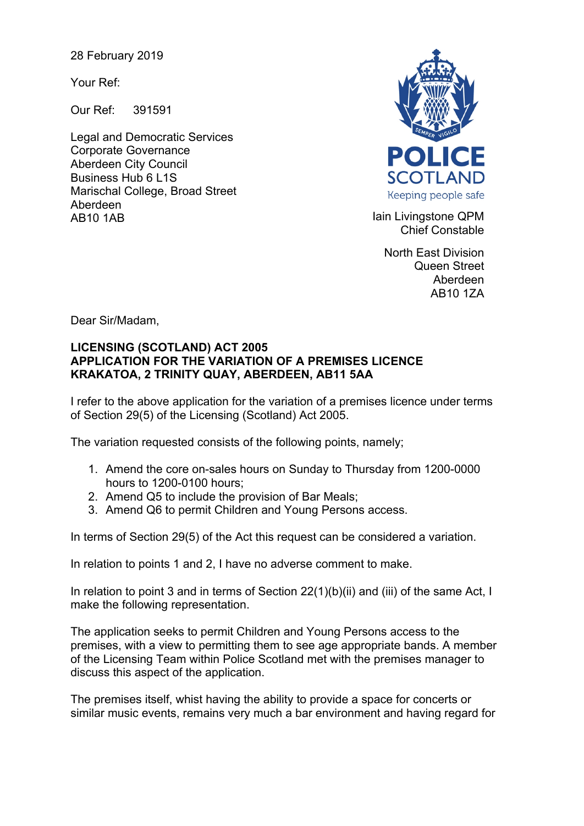28 February 2019

Your Ref:

Our Ref: 391591

Legal and Democratic Services Corporate Governance Aberdeen City Council Business Hub 6 L1S Marischal College, Broad Street Aberdeen AB10 1AB **Iain Livingstone QPM** 



Chief Constable

North East Division Queen Street Aberdeen AB10 1ZA

Dear Sir/Madam,

## **LICENSING (SCOTLAND) ACT 2005 APPLICATION FOR THE VARIATION OF A PREMISES LICENCE KRAKATOA, 2 TRINITY QUAY, ABERDEEN, AB11 5AA**

I refer to the above application for the variation of a premises licence under terms of Section 29(5) of the Licensing (Scotland) Act 2005.

The variation requested consists of the following points, namely;

- 1. Amend the core on-sales hours on Sunday to Thursday from 1200-0000 hours to 1200-0100 hours;
- 2. Amend Q5 to include the provision of Bar Meals;
- 3. Amend Q6 to permit Children and Young Persons access.

In terms of Section 29(5) of the Act this request can be considered a variation.

In relation to points 1 and 2, I have no adverse comment to make.

In relation to point 3 and in terms of Section 22(1)(b)(ii) and (iii) of the same Act, I make the following representation.

The application seeks to permit Children and Young Persons access to the premises, with a view to permitting them to see age appropriate bands. A member of the Licensing Team within Police Scotland met with the premises manager to discuss this aspect of the application.

The premises itself, whist having the ability to provide a space for concerts or similar music events, remains very much a bar environment and having regard for